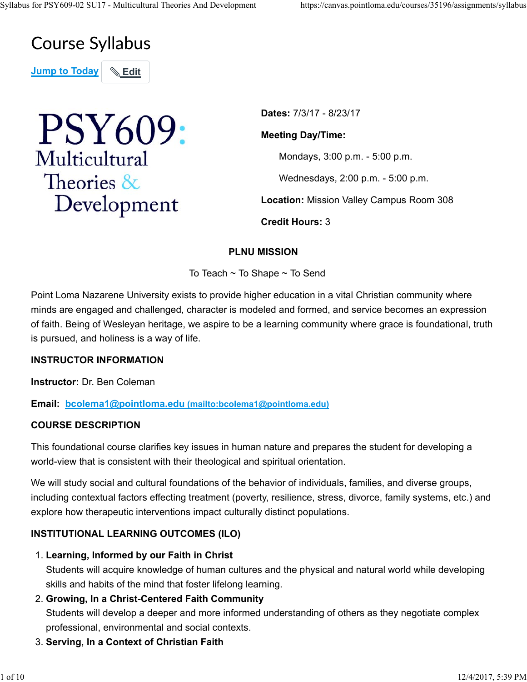## **Course Syllabus**

**Jump to Today | & Edit** 



**Dates:** 7/3/17 - 8/23/17 **Meeting Day/Time:** Mondays, 3:00 p.m. - 5:00 p.m. Wednesdays, 2:00 p.m. - 5:00 p.m. **Location:** Mission Valley Campus Room 308 **Credit Hours:** 3

## **PLNU MISSION**

To Teach ~ To Shape ~ To Send

Point Loma Nazarene University exists to provide higher education in a vital Christian community where minds are engaged and challenged, character is modeled and formed, and service becomes an expression of faith. Being of Wesleyan heritage, we aspire to be a learning community where grace is foundational, truth is pursued, and holiness is a way of life.

#### **INSTRUCTOR INFORMATION**

**Instructor:** Dr. Ben Coleman

**Email: bcolema1@pointloma.edu (mailto:bcolema1@pointloma.edu)**

#### **COURSE DESCRIPTION**

This foundational course clarifies key issues in human nature and prepares the student for developing a world-view that is consistent with their theological and spiritual orientation.

We will study social and cultural foundations of the behavior of individuals, families, and diverse groups, including contextual factors effecting treatment (poverty, resilience, stress, divorce, family systems, etc.) and explore how therapeutic interventions impact culturally distinct populations.

## **INSTITUTIONAL LEARNING OUTCOMES (ILO)**

**Learning, Informed by our Faith in Christ** 1.

Students will acquire knowledge of human cultures and the physical and natural world while developing skills and habits of the mind that foster lifelong learning.

**Growing, In a Christ-Centered Faith Community** 2.

Students will develop a deeper and more informed understanding of others as they negotiate complex professional, environmental and social contexts.

3. **Serving, In a Context of Christian Faith**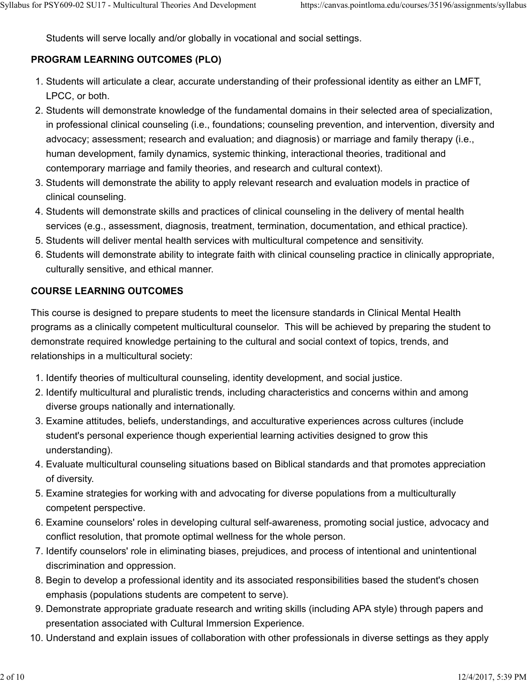Students will serve locally and/or globally in vocational and social settings.

## **PROGRAM LEARNING OUTCOMES (PLO)**

- 1. Students will articulate a clear, accurate understanding of their professional identity as either an LMFT, LPCC, or both.
- 2. Students will demonstrate knowledge of the fundamental domains in their selected area of specialization, in professional clinical counseling (i.e., foundations; counseling prevention, and intervention, diversity and advocacy; assessment; research and evaluation; and diagnosis) or marriage and family therapy (i.e., human development, family dynamics, systemic thinking, interactional theories, traditional and contemporary marriage and family theories, and research and cultural context).
- Students will demonstrate the ability to apply relevant research and evaluation models in practice of 3. clinical counseling.
- 4. Students will demonstrate skills and practices of clinical counseling in the delivery of mental health services (e.g., assessment, diagnosis, treatment, termination, documentation, and ethical practice).
- 5. Students will deliver mental health services with multicultural competence and sensitivity.
- Students will demonstrate ability to integrate faith with clinical counseling practice in clinically appropriate, 6. culturally sensitive, and ethical manner.

#### **COURSE LEARNING OUTCOMES**

This course is designed to prepare students to meet the licensure standards in Clinical Mental Health programs as a clinically competent multicultural counselor. This will be achieved by preparing the student to demonstrate required knowledge pertaining to the cultural and social context of topics, trends, and relationships in a multicultural society:

- 1. Identify theories of multicultural counseling, identity development, and social justice.
- 2. Identify multicultural and pluralistic trends, including characteristics and concerns within and among diverse groups nationally and internationally.
- Examine attitudes, beliefs, understandings, and acculturative experiences across cultures (include 3. student's personal experience though experiential learning activities designed to grow this understanding).
- Evaluate multicultural counseling situations based on Biblical standards and that promotes appreciation 4. of diversity.
- Examine strategies for working with and advocating for diverse populations from a multiculturally 5. competent perspective.
- Examine counselors' roles in developing cultural self-awareness, promoting social justice, advocacy and 6. conflict resolution, that promote optimal wellness for the whole person.
- 7. Identify counselors' role in eliminating biases, prejudices, and process of intentional and unintentional discrimination and oppression.
- 8. Begin to develop a professional identity and its associated responsibilities based the student's chosen emphasis (populations students are competent to serve).
- Demonstrate appropriate graduate research and writing skills (including APA style) through papers and 9. presentation associated with Cultural Immersion Experience.
- 10. Understand and explain issues of collaboration with other professionals in diverse settings as they apply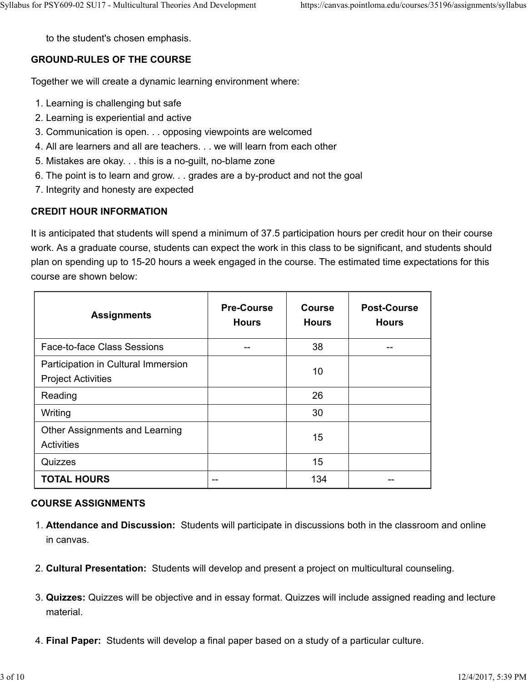to the student's chosen emphasis.

#### **GROUND-RULES OF THE COURSE**

Together we will create a dynamic learning environment where:

- 1. Learning is challenging but safe
- 2. Learning is experiential and active
- 3. Communication is open. . . opposing viewpoints are welcomed
- 4. All are learners and all are teachers. . . we will learn from each other
- 5. Mistakes are okay. . . this is a no-guilt, no-blame zone
- 6. The point is to learn and grow. . . grades are a by-product and not the goal
- 7. Integrity and honesty are expected

#### **CREDIT HOUR INFORMATION**

It is anticipated that students will spend a minimum of 37.5 participation hours per credit hour on their course work. As a graduate course, students can expect the work in this class to be significant, and students should plan on spending up to 15-20 hours a week engaged in the course. The estimated time expectations for this course are shown below:

| <b>Assignments</b>                                               | <b>Pre-Course</b><br><b>Hours</b> | <b>Course</b><br><b>Hours</b> | <b>Post-Course</b><br><b>Hours</b> |
|------------------------------------------------------------------|-----------------------------------|-------------------------------|------------------------------------|
| Face-to-face Class Sessions                                      |                                   | 38                            |                                    |
| Participation in Cultural Immersion<br><b>Project Activities</b> |                                   | 10                            |                                    |
| Reading                                                          |                                   | 26                            |                                    |
| Writing                                                          |                                   | 30                            |                                    |
| <b>Other Assignments and Learning</b><br><b>Activities</b>       |                                   | 15                            |                                    |
| Quizzes                                                          |                                   | 15                            |                                    |
| <b>TOTAL HOURS</b>                                               | --                                | 134                           |                                    |

#### **COURSE ASSIGNMENTS**

- **Attendance and Discussion:** Students will participate in discussions both in the classroom and online 1. in canvas.
- 2. **Cultural Presentation:** Students will develop and present a project on multicultural counseling.
- **Quizzes:** Quizzes will be objective and in essay format. Quizzes will include assigned reading and lecture 3. material.
- 4. **Final Paper:** Students will develop a final paper based on a study of a particular culture.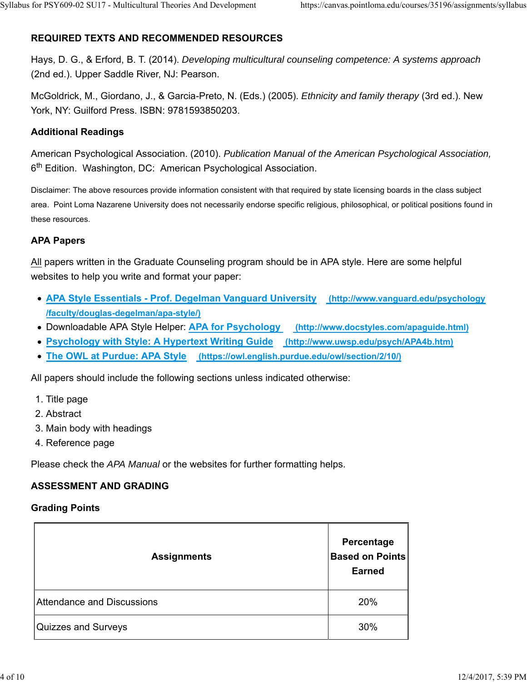## **REQUIRED TEXTS AND RECOMMENDED RESOURCES**

Hays, D. G., & Erford, B. T. (2014). *Developing multicultural counseling competence: A systems approach* (2nd ed.). Upper Saddle River, NJ: Pearson.

McGoldrick, M., Giordano, J., & Garcia-Preto, N. (Eds.) (2005). *Ethnicity and family therapy* (3rd ed.). New York, NY: Guilford Press. ISBN: 9781593850203.

### **Additional Readings**

American Psychological Association. (2010). *Publication Manual of the American Psychological Association,* 6<sup>th</sup> Edition. Washington, DC: American Psychological Association.

Disclaimer: The above resources provide information consistent with that required by state licensing boards in the class subject area. Point Loma Nazarene University does not necessarily endorse specific religious, philosophical, or political positions found in these resources.

#### **APA Papers**

All papers written in the Graduate Counseling program should be in APA style. Here are some helpful websites to help you write and format your paper:

- **APA Style Essentials Prof. Degelman Vanguard University (http://www.vanguard.edu/psychology /faculty/douglas-degelman/apa-style/)**
- Downloadable APA Style Helper: **APA for Psychology (http://www.docstyles.com/apaguide.html)**
- **Psychology with Style: A Hypertext Writing Guide (http://www.uwsp.edu/psych/APA4b.htm)**
- **The OWL at Purdue: APA Style (https://owl.english.purdue.edu/owl/section/2/10/)**

All papers should include the following sections unless indicated otherwise:

- 1. Title page
- 2. Abstract
- 3. Main body with headings
- 4. Reference page

Please check the *APA Manual* or the websites for further formatting helps.

#### **ASSESSMENT AND GRADING**

#### **Grading Points**

| <b>Assignments</b>         | Percentage<br><b>Based on Points</b><br><b>Earned</b> |
|----------------------------|-------------------------------------------------------|
| Attendance and Discussions | 20%                                                   |
| Quizzes and Surveys        | 30%                                                   |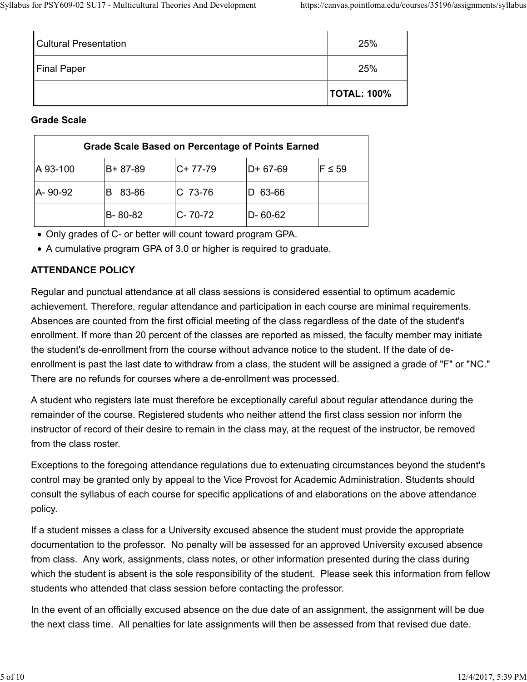|                       | <b>TOTAL: 100%</b> |
|-----------------------|--------------------|
| Final Paper           | 25%                |
| Cultural Presentation | 25%                |

#### **Grade Scale**

| <b>Grade Scale Based on Percentage of Points Earned</b> |         |               |               |             |
|---------------------------------------------------------|---------|---------------|---------------|-------------|
| A 93-100                                                | B+87-89 | $C+ 77-79$    | $D+ 67-69$    | $F \leq 59$ |
| A-90-92                                                 | 83-86   | $C$ 73-76     | 63-66         |             |
|                                                         | B-80-82 | $C - 70 - 72$ | $D - 60 - 62$ |             |

Only grades of C- or better will count toward program GPA.

A cumulative program GPA of 3.0 or higher is required to graduate.

## **ATTENDANCE POLICY**

Regular and punctual attendance at all class sessions is considered essential to optimum academic achievement. Therefore, regular attendance and participation in each course are minimal requirements. Absences are counted from the first official meeting of the class regardless of the date of the student's enrollment. If more than 20 percent of the classes are reported as missed, the faculty member may initiate the student's de-enrollment from the course without advance notice to the student. If the date of deenrollment is past the last date to withdraw from a class, the student will be assigned a grade of "F" or "NC." There are no refunds for courses where a de-enrollment was processed.

A student who registers late must therefore be exceptionally careful about regular attendance during the remainder of the course. Registered students who neither attend the first class session nor inform the instructor of record of their desire to remain in the class may, at the request of the instructor, be removed from the class roster.

Exceptions to the foregoing attendance regulations due to extenuating circumstances beyond the student's control may be granted only by appeal to the Vice Provost for Academic Administration. Students should consult the syllabus of each course for specific applications of and elaborations on the above attendance policy.

If a student misses a class for a University excused absence the student must provide the appropriate documentation to the professor. No penalty will be assessed for an approved University excused absence from class. Any work, assignments, class notes, or other information presented during the class during which the student is absent is the sole responsibility of the student. Please seek this information from fellow students who attended that class session before contacting the professor.

In the event of an officially excused absence on the due date of an assignment, the assignment will be due the next class time. All penalties for late assignments will then be assessed from that revised due date.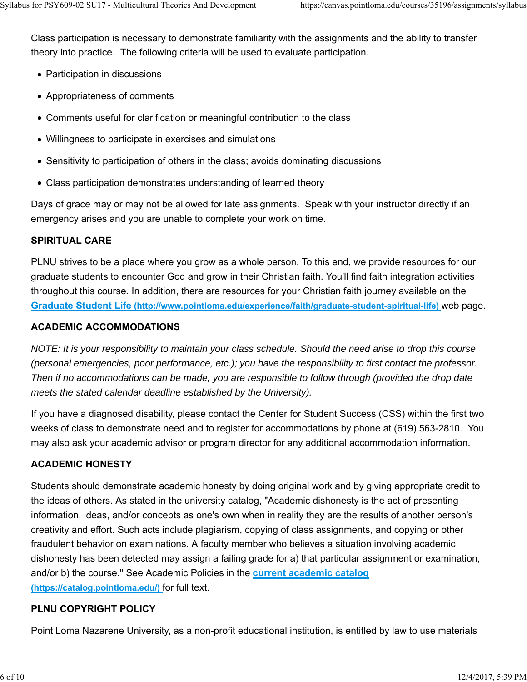Class participation is necessary to demonstrate familiarity with the assignments and the ability to transfer theory into practice. The following criteria will be used to evaluate participation.

- Participation in discussions
- Appropriateness of comments
- Comments useful for clarification or meaningful contribution to the class
- Willingness to participate in exercises and simulations
- Sensitivity to participation of others in the class; avoids dominating discussions
- Class participation demonstrates understanding of learned theory

Days of grace may or may not be allowed for late assignments. Speak with your instructor directly if an emergency arises and you are unable to complete your work on time.

#### **SPIRITUAL CARE**

PLNU strives to be a place where you grow as a whole person. To this end, we provide resources for our graduate students to encounter God and grow in their Christian faith. You'll find faith integration activities throughout this course. In addition, there are resources for your Christian faith journey available on the **Graduate Student Life (http://www.pointloma.edu/experience/faith/graduate-student-spiritual-life)** web page.

#### **ACADEMIC ACCOMMODATIONS**

*NOTE: It is your responsibility to maintain your class schedule. Should the need arise to drop this course (personal emergencies, poor performance, etc.); you have the responsibility to first contact the professor. Then if no accommodations can be made, you are responsible to follow through (provided the drop date meets the stated calendar deadline established by the University).*

If you have a diagnosed disability, please contact the Center for Student Success (CSS) within the first two weeks of class to demonstrate need and to register for accommodations by phone at (619) 563-2810. You may also ask your academic advisor or program director for any additional accommodation information.

#### **ACADEMIC HONESTY**

Students should demonstrate academic honesty by doing original work and by giving appropriate credit to the ideas of others. As stated in the university catalog, "Academic dishonesty is the act of presenting information, ideas, and/or concepts as one's own when in reality they are the results of another person's creativity and effort. Such acts include plagiarism, copying of class assignments, and copying or other fraudulent behavior on examinations. A faculty member who believes a situation involving academic dishonesty has been detected may assign a failing grade for a) that particular assignment or examination, and/or b) the course." See Academic Policies in the **current academic catalog (https://catalog.pointloma.edu/)** for full text.

#### **PLNU COPYRIGHT POLICY**

Point Loma Nazarene University, as a non-profit educational institution, is entitled by law to use materials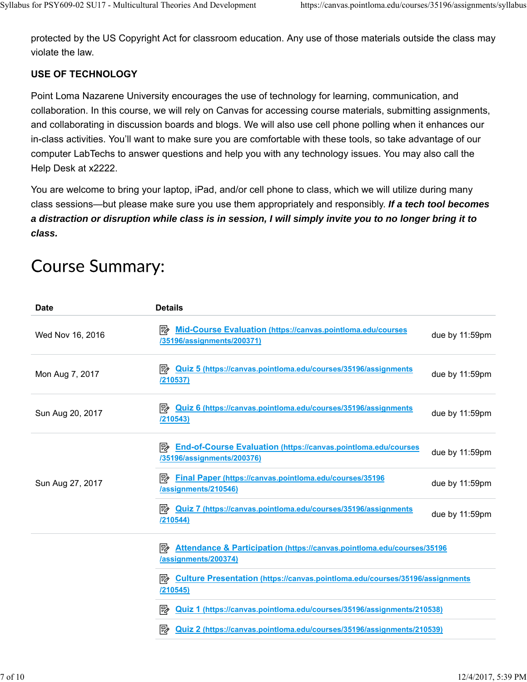protected by the US Copyright Act for classroom education. Any use of those materials outside the class may violate the law.

## **USE OF TECHNOLOGY**

Point Loma Nazarene University encourages the use of technology for learning, communication, and collaboration. In this course, we will rely on Canvas for accessing course materials, submitting assignments, and collaborating in discussion boards and blogs. We will also use cell phone polling when it enhances our in-class activities. You'll want to make sure you are comfortable with these tools, so take advantage of our computer LabTechs to answer questions and help you with any technology issues. You may also call the Help Desk at x2222.

You are welcome to bring your laptop, iPad, and/or cell phone to class, which we will utilize during many class sessions—but please make sure you use them appropriately and responsibly. *If a tech tool becomes a distraction or disruption while class is in session, I will simply invite you to no longer bring it to class.*

| <b>Date</b>      | <b>Details</b>                                                                                            |                |
|------------------|-----------------------------------------------------------------------------------------------------------|----------------|
| Wed Nov 16, 2016 | <b>Mid-Course Evaluation (https://canvas.pointloma.edu/courses</b><br>।5≽<br>/35196/assignments/200371)   | due by 11:59pm |
| Mon Aug 7, 2017  | <b>Quiz 5 (https://canvas.pointloma.edu/courses/35196/assignments</b><br><b>/210537)</b>                  | due by 11:59pm |
| Sun Aug 20, 2017 | <b>Quiz 6 (https://canvas.pointloma.edu/courses/35196/assignments</b><br>/210543)                         | due by 11:59pm |
|                  | <b>End-of-Course Evaluation (https://canvas.pointloma.edu/courses</b><br>/35196/assignments/200376)       | due by 11:59pm |
| Sun Aug 27, 2017 | <b>External Paper (https://canvas.pointloma.edu/courses/35196</b><br>/assignments/210546)                 | due by 11:59pm |
|                  | $\Rightarrow$ Quiz 7 (https://canvas.pointloma.edu/courses/35196/assignments<br>/210544)                  | due by 11:59pm |
|                  | 勖<br>Attendance & Participation (https://canvas.pointloma.edu/courses/35196<br>/assignments/200374)       |                |
|                  | <b>Example 2 Culture Presentation (https://canvas.pointloma.edu/courses/35196/assignments)</b><br>1210545 |                |
|                  | 隊<br>Quiz 1 (https://canvas.pointloma.edu/courses/35196/assignments/210538)                               |                |
|                  | Quiz 2 (https://canvas.pointloma.edu/courses/35196/assignments/210539)<br>影                               |                |

# **Course Summary:**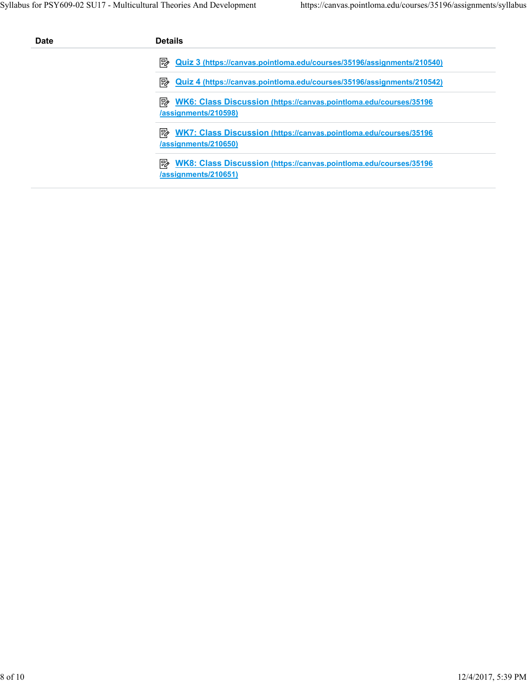| <b>Date</b> | <b>Details</b>                                                                                           |
|-------------|----------------------------------------------------------------------------------------------------------|
|             | ⋽≽<br>Quiz 3 (https://canvas.pointloma.edu/courses/35196/assignments/210540)                             |
|             | ≅⁄⊵<br>Quiz 4 (https://canvas.pointloma.edu/courses/35196/assignments/210542)                            |
|             | WK6: Class Discussion (https://canvas.pointloma.edu/courses/35196<br>⊯∕<br>/assignments/210598)          |
|             | י ⊮י<br><b>WK7: Class Discussion (https://canvas.pointloma.edu/courses/35196</b><br>/assignments/210650) |
|             | ⋽≽<br>WK8: Class Discussion (https://canvas.pointloma.edu/courses/35196<br>/assignments/210651)          |